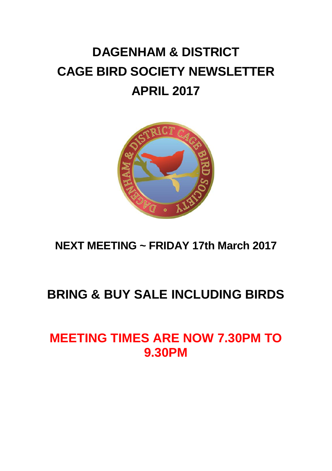# **DAGENHAM & DISTRICT CAGE BIRD SOCIETY NEWSLETTER APRIL 2017**



**NEXT MEETING ~ FRIDAY 17th March 2017**

## **BRING & BUY SALE INCLUDING BIRDS**

## **MEETING TIMES ARE NOW 7.30PM TO 9.30PM**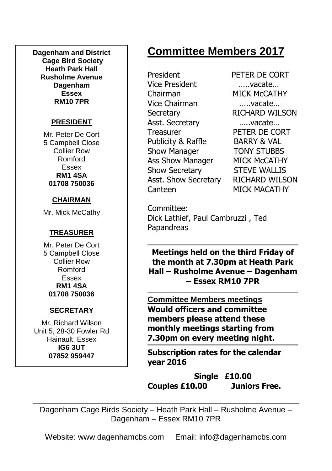**Dagenham and District Cage Bird Society Heath Park Hall Rusholme Avenue Dagenham Essex RM10 7PR**

### **PRESIDENT**

Mr. Peter De Cort 5 Campbell Close Collier Row Romford Essex **RM1 4SA 01708 750036**

### **CHAIRMAN**

Mr. Mick McCathy

### **TREASURER**

Mr. Peter De Cort 5 Campbell Close Collier Row Romford Essex **RM1 4SA 01708 750036**

### **SECRETARY**

Mr. Richard Wilson Unit 5, 28-30 Fowler Rd Hainault, Essex **IG6 3UT 07852 959447**

## **Committee Members 2017**

President PETER DE CORT Vice President …..vacate… Chairman MICK McCATHY Vice Chairman …..vacate… Secretary RICHARD WILSON Asst. Secretary …..vacate… Treasurer PETER DE CORT Publicity & Raffle BARRY & VAL Show Manager **TONY STUBBS** Ass Show Manager MICK McCATHY Show Secretary STEVE WALLIS Asst. Show Secretary RICHARD WILSON Canteen MICK MACATHY

Committee: Dick Lathief, Paul Cambruzzi , Ted Papandreas

**Meetings held on the third Friday of the month at 7.30pm at Heath Park Hall – Rusholme Avenue – Dagenham – Essex RM10 7PR**

**Committee Members meetings Would officers and committee members please attend these monthly meetings starting from 7.30pm on every meeting night.**

**Subscription rates for the calendar year 2016**

**Single £10.00 Couples £10.00 Juniors Free.**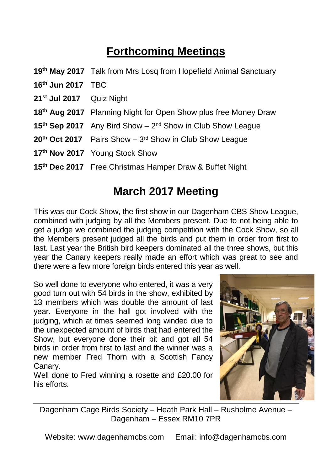## **Forthcoming Meetings**

- **19th May 2017** Talk from Mrs Losq from Hopefield Animal Sanctuary
- **16th Jun 2017** TBC
- **21st Jul 2017** Quiz Night
- **18th Aug 2017** Planning Night for Open Show plus free Money Draw
- 15<sup>th</sup> Sep 2017 Any Bird Show 2<sup>nd</sup> Show in Club Show League
- 20<sup>th</sup> Oct 2017 Pairs Show 3<sup>rd</sup> Show in Club Show League
- **17th Nov 2017** Young Stock Show
- **15th Dec 2017** Free Christmas Hamper Draw & Buffet Night

### **March 2017 Meeting**

This was our Cock Show, the first show in our Dagenham CBS Show League, combined with judging by all the Members present. Due to not being able to get a judge we combined the judging competition with the Cock Show, so all the Members present judged all the birds and put them in order from first to last. Last year the British bird keepers dominated all the three shows, but this year the Canary keepers really made an effort which was great to see and there were a few more foreign birds entered this year as well.

So well done to everyone who entered, it was a very good turn out with 54 birds in the show, exhibited by 13 members which was double the amount of last year. Everyone in the hall got involved with the judging, which at times seemed long winded due to the unexpected amount of birds that had entered the Show, but everyone done their bit and got all 54 birds in order from first to last and the winner was a new member Fred Thorn with a Scottish Fancy Canary.

Well done to Fred winning a rosette and £20.00 for his efforts.



Dagenham Cage Birds Society – Heath Park Hall – Rusholme Avenue – Dagenham – Essex RM10 7PR

Website: www.dagenhamcbs.com Email: info@dagenhamcbs.com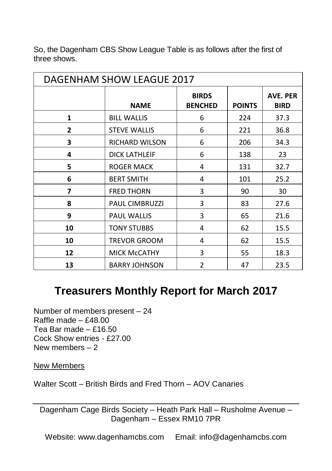| <b>DAGENHAM SHOW LEAGUE 2017</b> |                       |                                |               |                                |
|----------------------------------|-----------------------|--------------------------------|---------------|--------------------------------|
|                                  | <b>NAME</b>           | <b>BIRDS</b><br><b>BENCHED</b> | <b>POINTS</b> | <b>AVE. PER</b><br><b>BIRD</b> |
| 1                                | <b>BILL WALLIS</b>    | 6                              | 224           | 37.3                           |
| $\mathbf{2}$                     | <b>STEVE WALLIS</b>   | 6                              | 221           | 36.8                           |
| 3                                | <b>RICHARD WILSON</b> | 6                              | 206           | 34.3                           |
| 4                                | <b>DICK LATHLEIF</b>  | 6                              | 138           | 23                             |
| 5                                | <b>ROGER MACK</b>     | 4                              | 131           | 32.7                           |
| 6                                | <b>BERT SMITH</b>     | 4                              | 101           | 25.2                           |
| 7                                | <b>FRED THORN</b>     | 3                              | 90            | 30                             |
| 8                                | <b>PAUL CIMBRUZZI</b> | 3                              | 83            | 27.6                           |
| 9                                | <b>PAUL WALLIS</b>    | 3                              | 65            | 21.6                           |
| 10                               | <b>TONY STUBBS</b>    | 4                              | 62            | 15.5                           |
| 10                               | TREVOR GROOM          | 4                              | 62            | 15.5                           |
| 12                               | <b>MICK MCCATHY</b>   | 3                              | 55            | 18.3                           |
| 13                               | <b>BARRY JOHNSON</b>  | $\overline{2}$                 | 47            | 23.5                           |

So, the Dagenham CBS Show League Table is as follows after the first of three shows.

### **Treasurers Monthly Report for March 2017**

Number of members present – 24 Raffle made –  $f48.00$ Tea Bar made – £16.50 Cock Show entries - £27.00 New members – 2

New Members

Walter Scott – British Birds and Fred Thorn – AOV Canaries

Dagenham Cage Birds Society – Heath Park Hall – Rusholme Avenue – Dagenham – Essex RM10 7PR

Website: www.dagenhamcbs.com Email: info@dagenhamcbs.com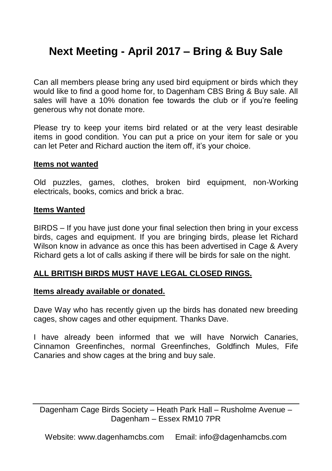## **Next Meeting - April 2017 – Bring & Buy Sale**

Can all members please bring any used bird equipment or birds which they would like to find a good home for, to Dagenham CBS Bring & Buy sale. All sales will have a 10% donation fee towards the club or if you're feeling generous why not donate more.

Please try to keep your items bird related or at the very least desirable items in good condition. You can put a price on your item for sale or you can let Peter and Richard auction the item off, it's your choice.

#### **Items not wanted**

Old puzzles, games, clothes, broken bird equipment, non-Working electricals, books, comics and brick a brac.

#### **Items Wanted**

BIRDS – If you have just done your final selection then bring in your excess birds, cages and equipment. If you are bringing birds, please let Richard Wilson know in advance as once this has been advertised in Cage & Avery Richard gets a lot of calls asking if there will be birds for sale on the night.

### **ALL BRITISH BIRDS MUST HAVE LEGAL CLOSED RINGS.**

#### **Items already available or donated.**

Dave Way who has recently given up the birds has donated new breeding cages, show cages and other equipment. Thanks Dave.

I have already been informed that we will have Norwich Canaries, Cinnamon Greenfinches, normal Greenfinches, Goldfinch Mules, Fife Canaries and show cages at the bring and buy sale.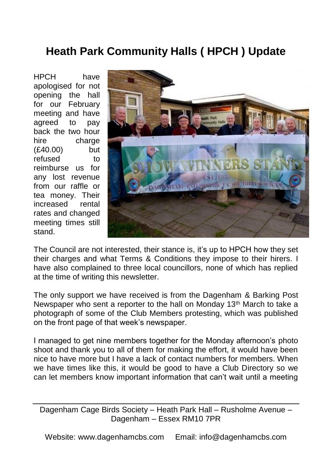## **Heath Park Community Halls ( HPCH ) Update**

HPCH have apologised for not opening the hall for our February meeting and have agreed to pay back the two hour hire charge (£40.00) but refused to reimburse us for any lost revenue from our raffle or tea money. Their increased rental rates and changed meeting times still stand.



The Council are not interested, their stance is, it's up to HPCH how they set their charges and what Terms & Conditions they impose to their hirers. I have also complained to three local councillors, none of which has replied at the time of writing this newsletter.

The only support we have received is from the Dagenham & Barking Post Newspaper who sent a reporter to the hall on Monday 13<sup>th</sup> March to take a photograph of some of the Club Members protesting, which was published on the front page of that week's newspaper.

I managed to get nine members together for the Monday afternoon's photo shoot and thank you to all of them for making the effort, it would have been nice to have more but I have a lack of contact numbers for members. When we have times like this, it would be good to have a Club Directory so we can let members know important information that can't wait until a meeting